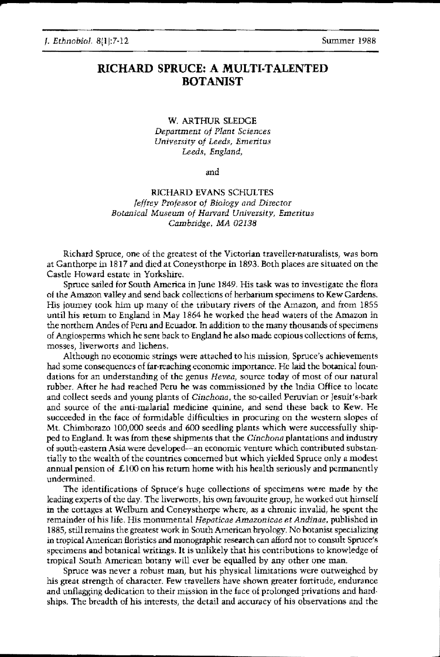**;**

### RICHARD SPRUCE: A MULTI·TALENTED **BOTANIST**

W, ARTHUR SLEDGE *Department of Plant Sciences Urrivcrsityof Leeds, Emeritus Leeds, England,*

and

### RICHARD EVANS SCHULTES *Jeffrey Professor of Biology and Director Botanical Museum of Harvard University, Emeritus Cambridge,* MA 02138

Richard Spruce, one of the greatest of the Victorian traveller-naturalists, was born at Ganthorpe in 1817 and died at Coneysthorpe in 1893. Both places are situated on the Castle Howard estate in Yorkshire,

Spruce sailed for South America in June 1849, His task was to investigate the flora of the Amazon valley and send back collections of herbarium specimens to Kew Gardens. His journey took him up many of the tributary rivers of the Amazon, and from 1855 until his return to England in May 1864 he worked the head waters of the Amazon in the northern Andes of Peru and Ecuador. In addition to the many thousands of specimens of Angiosperms which he sent back to England he also made copious collections of fems, mosses, liverworts and lichens,

Although no economic strings were attached to his mission, Spruce's achievements had some consequences of far-reaching economic importance. He laid the botanical foundations for an understanding of the genus *Hevea*, source today of most of our natural rubber. After he had reached Peru he was commissioned by the India Office to locate and collect seeds and young plants of *Cinchona*, the so-called Peruvian or Jesuit's-bark and source of the anti-malarial medicine quinine, and send these back to Kew. He succeeded in the face of formidable difficulties in procuring on the westem slopes of Mt. Chimborazo 100,000 seeds and 600 seedling plants which were successfully shipped to England. It was from these shipments that the *Cinchona* plantations and industry of south-eastern Asia were developed-an economic venture which contributed substantially to the wealth of the countries concerned but which yielded Spruce only a modest annual pension of £100 on his return home with his health seriously and permanently undermined.

The identifications of Spruce's huge collections of specimens were made by the leading experts of the dsy. The liverworts, his own favourite group, he worked out himself in the cottages at Welbum and Coneysthorpe where, as a chronic invalid, he spent the remainder of his life, His monumental *Hepaticae Amazonicae et Andinae,* published in 1885, still remains the greatest work in South American bryology, No botanist specializing in tropical American floristics and monographic research can afford not to consult Spruce's specimens and botanical writings. It is unlikely that his contributions to knowledge of tropical South American botany will ever he equalled by any other one man.

Spruce was never a robust man, but his physical limitations were outweighed by his great strength of character. Few travellers have shown greater fortitude, endurance and unflagging dedication to their mission in the face of prolonged privations and hardships. The breadth of his interests, the detail and accuracy of his observations and the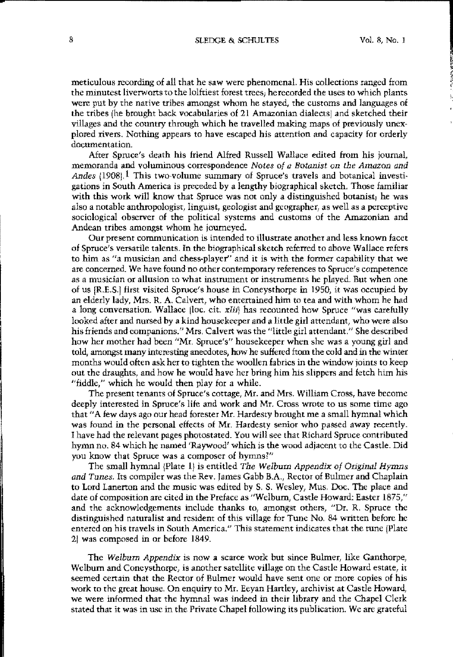8 SLEDGE & SCHULTES Vol. 8, No. 1

•, I  $\hat{z}$ 

meticulous recording of all that he saw were phenomenal. His collections ranged from the minutest liverworts to the lolftiest forest trees; herecorded the uses to which plants were put by the native tribes amongst whom he stayed, the customs and languages of the tribes (he brought back vocabularies of 21 Amazonian dialectsl and sketched their villages and the country through which he travelled making maps of previously unex· plored rivers. Nothing appears to have escapcd his attention and capacity for orderly documentation,

After Spruce's deatb his friend Alfred Russell Wallace edited from his journal, memoranda and voluminous correspondence *Notes of a Botanist* on *the Amazon and* Andes  $(1908)$ .<sup>1</sup> This two-volume summary of Spruce's travels and botanical investigations in South America is preceded by a lengthy biographical sketch. Those familiar with this work will know that Spruce was not only a distinguished botanist; he was also a notable anthropologist, linguist, geologisr and geographer, as well as a perceptive sociological observer of the political systems and customs of the Amazonian and Andean tribes amongst whom he journeyed.

OUT present communication is intended to illustrate another and less known facet of Spruce's versatile talents. In the biographical sketch referred to above Wallace refers to him as "a musician and chess·player" and it is with the former capability that we are concerned. We have found no other contemporary references to Spruce's competence as a musician or allusion to what instrument or instruments he played. But when one of us IRES.I first visited Spruce's house in Coneysthorpe in i950, it was occupied by an elderly lady, Mrs. R. A. Calvert, who entertained him to tea and with whom he had a long conversation. Wallace (loc. cit.  $x[i]$ ) has recounted how Spruce "was carefully looked after and nursed by a kind housekeeper and a little girl attendant, who were also his friends and companions." Mrs. Calvert was the "little girl attendant." She described how her mother had been "Mr. Spruce's" housekeeper when she was a young girl and told, amongst many interesting anecdotes, how he suffered ftom the cold and in the winter months would often ask her to tighten the woollen fabrics in the window joints to keep out the draughts, and how he would have her bring him his slippers and fetch him his "fiddle," which he would then play for a while.

The present tenants of Spruce's cottage, Mr. and Mrs. William Cross, have become deeply interested in Spruce's life and work and Mr. Cross wrote to us some time ago that"A few days ago our head forester Mr. Hardesty brought me a small hymnal which was found in the personal effects of Mr. Hardesty senior who passed away recently. I have had the relevant pages photostated. You will see that Richard Spruce contributed hymn no. 84 which he named 'Raywood' which is the wood adjacent to the Castle. Did you know that Spruce was a composer of hymns?"

The small hymnal (Plate 1) is entitled The Welburn Appendix of Original Hymns and Tunes. Its compiler was the Rev. James Gabb B.A., Rector of Bulmer and Chaplain to Lord Lanerton and the music was edited by S. S. Wesley, Mus. Doc. The plaee and date of composition are cited in the Pre/ace as "Welburn, Castle Howard: Easter 1875," and the acknowledgements include thanks to, amongst others, "Dr. R. Spruce the distinguished naturalist and resident of this village for Tune No. 84 written before he entered on his travels in South America." This statement indicates that the tune [Plate] 21 was composed in or before 1849.

The Welburn Appendix is now a scarce work but since Bulmer, like Ganthorpe, Welbum and Coneysthorpe, is another satellite village on the Castle Howard estate, it seemed certain that the Rector of Bulmer would have sent one or more copies of his work to the great house. On enquiry to Mr. Eeyan Hartley, archivist at Castle Howard, we were informed that the hymnal was indeed in their library and the Chapel Clerk stated that it was in use in the Private Chapel following its publication. We are grateful

•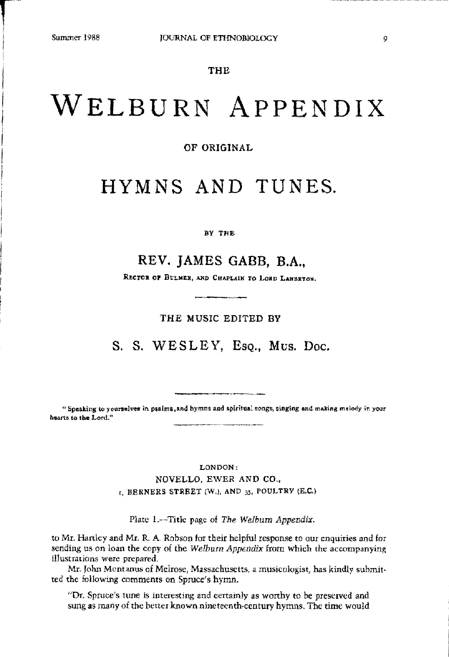**reduced** 

I

# WELBURN ApPENDIX

OF ORIGINAL

# HYMNS AND TUNES.

### BY THE

## REV. JAMES GABB, B.A.,

RECTOR OF BULMER, AND CHAPLAIN TO LORD LANZETON.

THE MUSIC EDITED BY

S. S. WESLEY, Eso., Mus. Doc.

and hymns and spiritual son . Speaking to yourselves in psalms, and hymns and spiritual songs, singing and making melody in your hearts to the Lord."

\_\_\_\_~\_n\_

LONDON: NOVELLO, EWER AND CO.,  $_{I}$ , BERNERS STREET (W.), AND  $_{35}$ , POULTRY (E.C.)

Plate 1.--Title page of *The Welburn Appendix.*

to Mr. Hartley and Mr. R. A Robson for their helpful response to our enquiries and for sending us on loan the copy of the *Welburn Appendix* from which the accompanying illustrations were prepared.

Mr. John Montanus of Melrose, Massachusetts, a musicologist, has kindly submitted the following comments on Spruce's hymn.

"Dr. Spruce's tune is interesting and certainly as worthy to be preserved and sung as many of the better known nineteenth·century hymns. The time would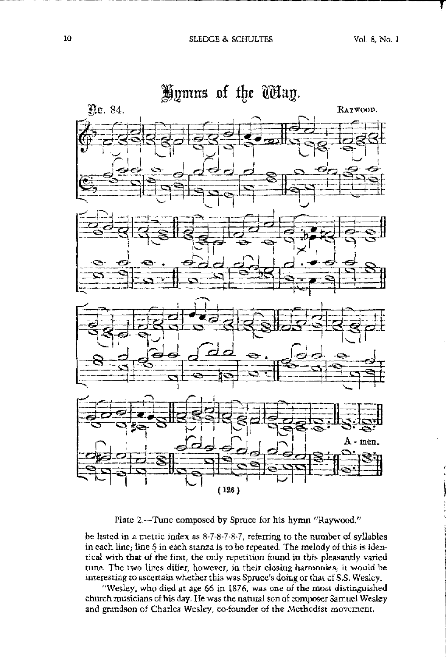-~~ ~--~~~-~'-----------------------------rr



Plate 2.-Tune composed by Spruce for his hymn "Raywood."

be listed in a metric index as  $8-7-8-7-8-7$ , referring to the number of syllables in each line; line 5 in each stanza is to be repeated. The melody of this is identical with that of the first, the only repetition found in this pleasantly varied tune. The two lines differ, however, in their closing harmonies; it would be interesting to ascertain whether this was Spruce's doing or that of *S.S.* Wesley.

"Wesley, who died at age 66 in 1876, was one of the most distinguished church musicians of his day, He was the natural son of composer Samuel Wesley and grandson of Charles Wesley, eo-founder of the Methodist movement,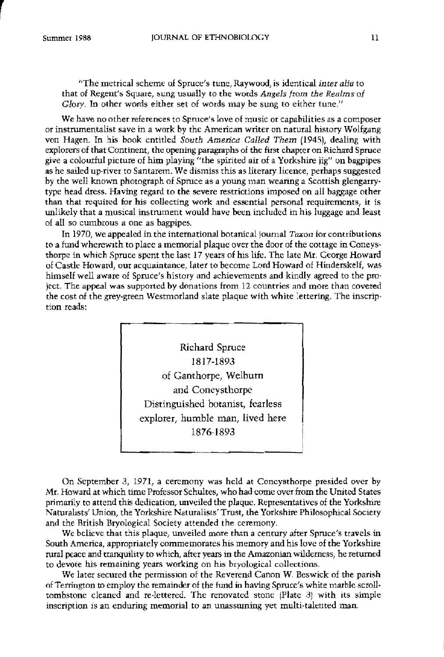r

<sup>1</sup>The metrical scheme of Spruce's tune. Raywood, is identical *inter alia* to that of Regent's Square, sung usually to the words *Angels from the Realms* of *Glory*. In other words either set of words may be sung to either tune."

We have no other references to Spruce's love of music or capabilities as a composer or instrumentalist save in a work by the American writer on natural history Wollgang von Hagen. In his book entitled *South America Called Them* 11945), dealing with explorers of that Continent, the opening paragraphs of the fitst chapter on Richsrd Spruce give a colourful picture of bitn playing "the spirited air of a Yorkshire jig" on bagpipes as he sailed up-river to Santarem. We dismiss this as literary licence, perhaps suggested by the well known photograph of Spruce as a young man weanng a Scottish glengarry· type head dress. Having regard to the severe restrictions imposed on all baggage other than that required for his collecting work and essential personal requirements, it is unlikely that a musical instrument would have been included in his luggage and least of all so cumhrous a one as bagpipes.

In 1970, we appealed in the international botanical journal Taxon for contributions to a fund wherewith to place a memorial plaque over the door of the cottage in Coneysthorpe in which Spruce spent the last 17 years of his life, The late Mr. Ceorge Howard of Castle Howard, our acquaintance, later to hecome Lord Howard of Hinderskelf, was himself well aware of Spruce's history and achievements and kindly agreed to the pro· ject. The appeal was supported by donations from 12 countries and more than covered the cost of the grey-green Westmorland slate plaque with white lettering, The inscrip· tion reads:



On Septemher B, 1971, a ceremony was held at Concysthorpe presided over by Mr. Howard at which time Professor Schultes, who had come overfrom the United States primarily to attend this dedication, unveiled the plaque. Representatives of the Yorkshire Naturahsts' Union, the Yorkshire Naturalists' Trust, the Yorkshire Philosophical Society and the British Bryological Society attended the ceremony.

We believe that this plaque, unveiled more than a century after Spruce's travels in South America, appropriately commemorates his memory and his love of the Yorkshire rural peace and tranquility to which, after years in the Amazonianwilderness, he returned to devote his remaining years working on his bryological collections.

We later secured the permission of the Reverend Canon W. Beswick of the parish of Terrington to employ the remainder of the fund in having Spruce's white marble scrolltombstone cleaned and re·lettered. The renovated stone IPlate 31 with its simple inscription is an enduring memorial to an unassuming yet multi-talented man.